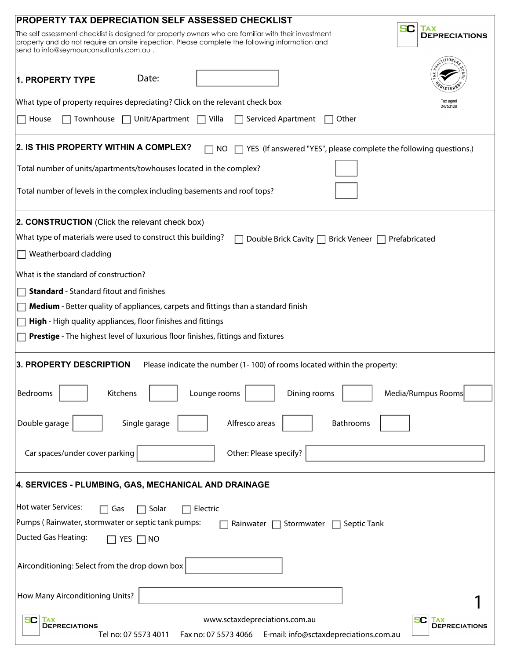| PROPERTY TAX DEPRECIATION SELF ASSESSED CHECKLIST                                                                                                                                                                                                  |                                           |
|----------------------------------------------------------------------------------------------------------------------------------------------------------------------------------------------------------------------------------------------------|-------------------------------------------|
| The self assessment checklist is designed for property owners who are familiar with their investment<br>property and do not require an onsite inspection. Please complete the following information and<br>send to info@seymourconsultants.com.au. | SC.<br><b>TAX</b><br><b>DEPRECIATIONS</b> |
| Date:<br><b>1. PROPERTY TYPE</b>                                                                                                                                                                                                                   |                                           |
| What type of property requires depreciating? Click on the relevant check box                                                                                                                                                                       | Tax agent<br>24753128                     |
| $\Box$ Unit/Apartment $\Box$<br>House<br>Townhouse<br>Villa<br>Serviced Apartment<br>Other                                                                                                                                                         |                                           |
| 2. IS THIS PROPERTY WITHIN A COMPLEX?<br>$\Box$ YES (If answered "YES", please complete the following questions.)<br>NO.                                                                                                                           |                                           |
| Total number of units/apartments/towhouses located in the complex?                                                                                                                                                                                 |                                           |
| Total number of levels in the complex including basements and roof tops?                                                                                                                                                                           |                                           |
| 2. CONSTRUCTION (Click the relevant check box)                                                                                                                                                                                                     |                                           |
| What type of materials were used to construct this building?<br>Double Brick Cavity □ Brick Veneer □ Prefabricated                                                                                                                                 |                                           |
| Weatherboard cladding                                                                                                                                                                                                                              |                                           |
| What is the standard of construction?                                                                                                                                                                                                              |                                           |
| <b>Standard</b> - Standard fitout and finishes                                                                                                                                                                                                     |                                           |
| Medium - Better quality of appliances, carpets and fittings than a standard finish                                                                                                                                                                 |                                           |
| High - High quality appliances, floor finishes and fittings                                                                                                                                                                                        |                                           |
| Prestige - The highest level of luxurious floor finishes, fittings and fixtures                                                                                                                                                                    |                                           |
| Please indicate the number (1-100) of rooms located within the property:<br>3. PROPERTY DESCRIPTION                                                                                                                                                |                                           |
| Bedrooms<br>Kitchens<br>Lounge rooms<br>Dining rooms                                                                                                                                                                                               | Media/Rumpus Rooms                        |
| Double garage<br>Single garage<br>Alfresco areas<br>Bathrooms                                                                                                                                                                                      |                                           |
| Car spaces/under cover parking<br>Other: Please specify?                                                                                                                                                                                           |                                           |
| 4. SERVICES - PLUMBING, GAS, MECHANICAL AND DRAINAGE                                                                                                                                                                                               |                                           |
| <b>Hot water Services:</b><br>Solar<br>Electric<br>Gas                                                                                                                                                                                             |                                           |
| Pumps (Rainwater, stormwater or septic tank pumps:<br>Stormwater $\Box$<br>Septic Tank<br>Rainwater                                                                                                                                                |                                           |
| <b>Ducted Gas Heating:</b><br>YES $\Box$ NO                                                                                                                                                                                                        |                                           |
| Airconditioning: Select from the drop down box                                                                                                                                                                                                     |                                           |
| How Many Airconditioning Units?                                                                                                                                                                                                                    |                                           |
| www.sctaxdepreciations.com.au<br>SC<br><b>TAX</b><br><b>DEPRECIATIONS</b><br>E-mail: info@sctaxdepreciations.com.au<br>Tel no: 07 5573 4011<br>Fax no: 07 5573 4066                                                                                | SC<br><b>TAX</b><br><b>DEPRECIATIONS</b>  |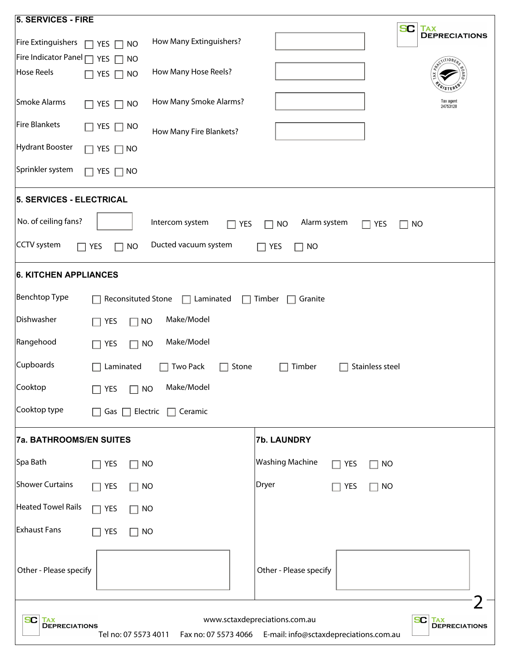| <b>5. SERVICES - FIRE</b>                                                                                                                                                                     |                                                         |  |
|-----------------------------------------------------------------------------------------------------------------------------------------------------------------------------------------------|---------------------------------------------------------|--|
| How Many Extinguishers?<br>Fire Extinguishers<br>YES $\Box$ NO<br>П                                                                                                                           | SC<br><b>TAX</b><br><b>DEPRECIATIONS</b>                |  |
| Fire Indicator Panel $\Box$<br>YES<br>$\Box$ NO<br>How Many Hose Reels?<br><b>Hose Reels</b><br>YES $\Box$<br><b>NO</b>                                                                       | $\sqrt{1110N_E}$                                        |  |
| How Many Smoke Alarms?<br>Smoke Alarms<br>YES $\Box$<br><b>NO</b>                                                                                                                             | Tax agent<br>24753128                                   |  |
| <b>Fire Blankets</b><br>YES  <br>$\sqcap$ NO<br>How Many Fire Blankets?                                                                                                                       |                                                         |  |
| <b>Hydrant Booster</b><br>YES $\Box$ NO                                                                                                                                                       |                                                         |  |
| Sprinkler system<br>YES $\Box$<br>  NO                                                                                                                                                        |                                                         |  |
| 5. SERVICES - ELECTRICAL                                                                                                                                                                      |                                                         |  |
| No. of ceiling fans?<br>Intercom system<br><b>YES</b>                                                                                                                                         | Alarm system<br><b>NO</b><br>YES<br><b>NO</b><br>$\Box$ |  |
| <b>CCTV</b> system<br>Ducted vacuum system<br><b>YES</b><br><b>NO</b>                                                                                                                         | <b>YES</b><br><b>NO</b>                                 |  |
| <b>6. KITCHEN APPLIANCES</b>                                                                                                                                                                  |                                                         |  |
| <b>Benchtop Type</b><br>Reconsituted Stone<br>$\Box$ Laminated<br>$\blacksquare$                                                                                                              | Timber<br>Granite<br>$\Box$                             |  |
| Dishwasher<br>Make/Model<br>YES<br><b>NO</b>                                                                                                                                                  |                                                         |  |
| Rangehood<br>Make/Model<br><b>YES</b><br><b>NO</b><br>$\blacksquare$                                                                                                                          |                                                         |  |
| Cupboards<br>Laminated<br><b>Two Pack</b><br>Stone<br>Stainless steel<br>Timber                                                                                                               |                                                         |  |
| Cooktop<br>Make/Model<br>$\Box$ NO<br>$\Box$ YES                                                                                                                                              |                                                         |  |
| Cooktop type<br>Gas $\Box$<br>Electric<br>$\Box$ Ceramic                                                                                                                                      |                                                         |  |
| <b>7a. BATHROOMS/EN SUITES</b>                                                                                                                                                                | 7b. LAUNDRY                                             |  |
| Spa Bath<br>$\sqsupset$ YES<br><b>NO</b>                                                                                                                                                      | <b>Washing Machine</b><br>YES<br><b>NO</b>              |  |
| <b>Shower Curtains</b><br>$\sqsupset$ Yes<br><b>NO</b>                                                                                                                                        | Dryer<br>YES<br><b>NO</b>                               |  |
| <b>Heated Towel Rails</b><br>$\sqsupset$ YES<br>$\sqcap$ NO                                                                                                                                   |                                                         |  |
| <b>Exhaust Fans</b><br>YES<br><b>NO</b>                                                                                                                                                       |                                                         |  |
| Other - Please specify                                                                                                                                                                        | Other - Please specify                                  |  |
| www.sctaxdepreciations.com.au<br><b>SC</b> TAX<br>DEPRECIATIONS<br>SC I<br><b>TAX</b><br>DEPRECIATIONS<br>Fax no: 07 5573 4066 E-mail: info@sctaxdepreciations.com.au<br>Tel no: 07 5573 4011 |                                                         |  |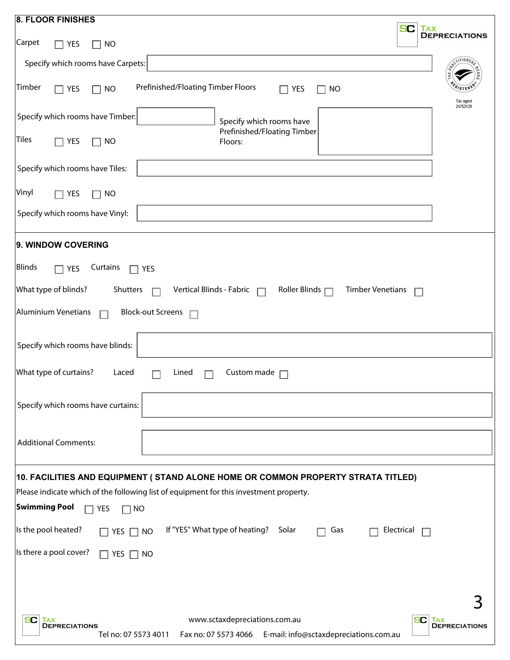| <b>SC</b><br><b>TAX</b><br><b>DEPRECIATIONS</b><br>Carpet<br>YES<br><b>NO</b><br>$\mathcal{L}$<br>Specify which rooms have Carpets:<br>Timber<br>Prefinished/Floating Timber Floors<br>$\Box$ Yes<br><b>NO</b><br>YES<br>NO<br>Tax agent<br>24753128<br>Specify which rooms have Timber:<br>Specify which rooms have<br>Prefinished/Floating Timber<br><b>Tiles</b><br><b>YES</b><br>Floors:<br><b>NO</b><br>$\blacksquare$<br>Specify which rooms have Tiles:<br>Vinyl<br><b>YES</b><br><b>NO</b><br>Specify which rooms have Vinyl:<br>9. WINDOW COVERING<br><b>Blinds</b><br>Curtains<br>$\Box$ YES<br>YES<br>What type of blinds?<br>Vertical Blinds - Fabric<br>Roller Blinds $\Box$<br><b>Timber Venetians</b><br>Shutters<br>$\Box$<br><b>Aluminium Venetians</b><br><b>Block-out Screens</b><br>Specify which rooms have blinds:<br>What type of curtains?<br>Laced<br>Custom made<br>Lined<br>Specify which rooms have curtains:<br><b>Additional Comments:</b><br>10. FACILITIES AND EQUIPMENT (STAND ALONE HOME OR COMMON PROPERTY STRATA TITLED)<br>Please indicate which of the following list of equipment for this investment property.<br><b>Swimming Pool</b><br><b>YES</b><br><b>NO</b><br>Is the pool heated?<br>If "YES" What type of heating?<br>Solar<br>Electrical<br>Gas<br>YES $\Box$ NO<br>$\Box$<br>Is there a pool cover?<br>YES $\Box$ NO<br>$\Box$<br>www.sctaxdepreciations.com.au<br><b>SC</b><br>SC<br><b>TAX</b><br><b>TAX</b><br><b>DEPRECIATIONS</b><br><b>DEPRECIATIONS</b><br>Fax no: 07 5573 4066 E-mail: info@sctaxdepreciations.com.au |                          |  |
|---------------------------------------------------------------------------------------------------------------------------------------------------------------------------------------------------------------------------------------------------------------------------------------------------------------------------------------------------------------------------------------------------------------------------------------------------------------------------------------------------------------------------------------------------------------------------------------------------------------------------------------------------------------------------------------------------------------------------------------------------------------------------------------------------------------------------------------------------------------------------------------------------------------------------------------------------------------------------------------------------------------------------------------------------------------------------------------------------------------------------------------------------------------------------------------------------------------------------------------------------------------------------------------------------------------------------------------------------------------------------------------------------------------------------------------------------------------------------------------------------------------------------------------------------------------------------------|--------------------------|--|
|                                                                                                                                                                                                                                                                                                                                                                                                                                                                                                                                                                                                                                                                                                                                                                                                                                                                                                                                                                                                                                                                                                                                                                                                                                                                                                                                                                                                                                                                                                                                                                                 | <b>8. FLOOR FINISHES</b> |  |
|                                                                                                                                                                                                                                                                                                                                                                                                                                                                                                                                                                                                                                                                                                                                                                                                                                                                                                                                                                                                                                                                                                                                                                                                                                                                                                                                                                                                                                                                                                                                                                                 |                          |  |
|                                                                                                                                                                                                                                                                                                                                                                                                                                                                                                                                                                                                                                                                                                                                                                                                                                                                                                                                                                                                                                                                                                                                                                                                                                                                                                                                                                                                                                                                                                                                                                                 |                          |  |
|                                                                                                                                                                                                                                                                                                                                                                                                                                                                                                                                                                                                                                                                                                                                                                                                                                                                                                                                                                                                                                                                                                                                                                                                                                                                                                                                                                                                                                                                                                                                                                                 |                          |  |
|                                                                                                                                                                                                                                                                                                                                                                                                                                                                                                                                                                                                                                                                                                                                                                                                                                                                                                                                                                                                                                                                                                                                                                                                                                                                                                                                                                                                                                                                                                                                                                                 |                          |  |
|                                                                                                                                                                                                                                                                                                                                                                                                                                                                                                                                                                                                                                                                                                                                                                                                                                                                                                                                                                                                                                                                                                                                                                                                                                                                                                                                                                                                                                                                                                                                                                                 |                          |  |
|                                                                                                                                                                                                                                                                                                                                                                                                                                                                                                                                                                                                                                                                                                                                                                                                                                                                                                                                                                                                                                                                                                                                                                                                                                                                                                                                                                                                                                                                                                                                                                                 |                          |  |
|                                                                                                                                                                                                                                                                                                                                                                                                                                                                                                                                                                                                                                                                                                                                                                                                                                                                                                                                                                                                                                                                                                                                                                                                                                                                                                                                                                                                                                                                                                                                                                                 |                          |  |
|                                                                                                                                                                                                                                                                                                                                                                                                                                                                                                                                                                                                                                                                                                                                                                                                                                                                                                                                                                                                                                                                                                                                                                                                                                                                                                                                                                                                                                                                                                                                                                                 |                          |  |
|                                                                                                                                                                                                                                                                                                                                                                                                                                                                                                                                                                                                                                                                                                                                                                                                                                                                                                                                                                                                                                                                                                                                                                                                                                                                                                                                                                                                                                                                                                                                                                                 |                          |  |
|                                                                                                                                                                                                                                                                                                                                                                                                                                                                                                                                                                                                                                                                                                                                                                                                                                                                                                                                                                                                                                                                                                                                                                                                                                                                                                                                                                                                                                                                                                                                                                                 |                          |  |
|                                                                                                                                                                                                                                                                                                                                                                                                                                                                                                                                                                                                                                                                                                                                                                                                                                                                                                                                                                                                                                                                                                                                                                                                                                                                                                                                                                                                                                                                                                                                                                                 |                          |  |
|                                                                                                                                                                                                                                                                                                                                                                                                                                                                                                                                                                                                                                                                                                                                                                                                                                                                                                                                                                                                                                                                                                                                                                                                                                                                                                                                                                                                                                                                                                                                                                                 |                          |  |
|                                                                                                                                                                                                                                                                                                                                                                                                                                                                                                                                                                                                                                                                                                                                                                                                                                                                                                                                                                                                                                                                                                                                                                                                                                                                                                                                                                                                                                                                                                                                                                                 |                          |  |
|                                                                                                                                                                                                                                                                                                                                                                                                                                                                                                                                                                                                                                                                                                                                                                                                                                                                                                                                                                                                                                                                                                                                                                                                                                                                                                                                                                                                                                                                                                                                                                                 |                          |  |
|                                                                                                                                                                                                                                                                                                                                                                                                                                                                                                                                                                                                                                                                                                                                                                                                                                                                                                                                                                                                                                                                                                                                                                                                                                                                                                                                                                                                                                                                                                                                                                                 |                          |  |
|                                                                                                                                                                                                                                                                                                                                                                                                                                                                                                                                                                                                                                                                                                                                                                                                                                                                                                                                                                                                                                                                                                                                                                                                                                                                                                                                                                                                                                                                                                                                                                                 |                          |  |
|                                                                                                                                                                                                                                                                                                                                                                                                                                                                                                                                                                                                                                                                                                                                                                                                                                                                                                                                                                                                                                                                                                                                                                                                                                                                                                                                                                                                                                                                                                                                                                                 |                          |  |
|                                                                                                                                                                                                                                                                                                                                                                                                                                                                                                                                                                                                                                                                                                                                                                                                                                                                                                                                                                                                                                                                                                                                                                                                                                                                                                                                                                                                                                                                                                                                                                                 |                          |  |
|                                                                                                                                                                                                                                                                                                                                                                                                                                                                                                                                                                                                                                                                                                                                                                                                                                                                                                                                                                                                                                                                                                                                                                                                                                                                                                                                                                                                                                                                                                                                                                                 |                          |  |
|                                                                                                                                                                                                                                                                                                                                                                                                                                                                                                                                                                                                                                                                                                                                                                                                                                                                                                                                                                                                                                                                                                                                                                                                                                                                                                                                                                                                                                                                                                                                                                                 | Tel no: 07 5573 4011     |  |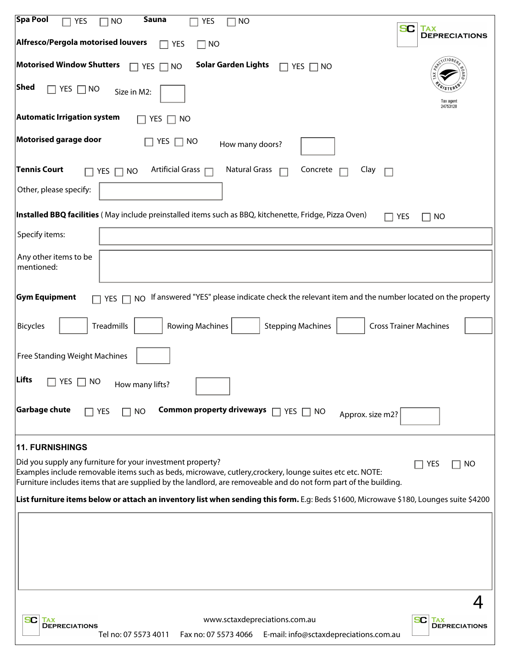| Spa Pool<br><b>Sauna</b><br><b>YES</b><br><b>NO</b><br><b>YES</b><br><b>NO</b><br><b>SC</b><br><b>TAX</b><br><b>DEPRECIATIONS</b><br>Alfresco/Pergola motorised louvers<br>YES<br>$\Box$ NO<br>П<br><b>Motorised Window Shutters</b><br><b>Solar Garden Lights</b><br><b>YES</b><br><b>NO</b><br>YES<br>$\Box$<br>$\Box$ No<br>Shed<br>YES $\Box$ NO<br>Size in M2:<br>Tax agent<br>24753128<br><b>Automatic Irrigation system</b><br>YES<br>NO<br>Motorised garage door<br>YES<br>$\Box$ No<br>How many doors?<br><b>Tennis Court</b><br>Artificial Grass □<br><b>Natural Grass</b><br>Concrete<br>Clay<br>YES $\Box$<br><b>NO</b><br>Other, please specify:<br>Installed BBQ facilities (May include preinstalled items such as BBQ, kitchenette, Fridge, Pizza Oven)<br>YES<br><b>NO</b><br>Specify items:<br>Any other items to be<br>mentioned:<br><b>Gym Equipment</b><br>If answered "YES" please indicate check the relevant item and the number located on the property<br>YES $\Gamma$<br><b>NO</b><br>Treadmills<br><b>Stepping Machines</b><br><b>Cross Trainer Machines</b><br><b>Bicycles</b><br><b>Rowing Machines</b><br>Free Standing Weight Machines<br>Lifts<br>YES.<br>NO<br>How many lifts?<br>Garbage chute<br><b>Common property driveways</b><br>YES<br><b>NO</b><br>$\Box$ YES $\Box$ NO<br>Approx. size m2?<br><b>11. FURNISHINGS</b><br>Did you supply any furniture for your investment property?<br>YES<br>NO<br>Examples include removable items such as beds, microwave, cutlery, crockery, lounge suites etc etc. NOTE:<br>Furniture includes items that are supplied by the landlord, are removeable and do not form part of the building.<br>List furniture items below or attach an inventory list when sending this form. E.g: Beds \$1600, Microwave \$180, Lounges suite \$4200<br>www.sctaxdepreciations.com.au<br>SC<br>SC.<br><b>TAX</b><br>TAX<br><b>DEPRECIATIONS</b><br><b>DEPRECIATIONS</b><br>E-mail: info@sctaxdepreciations.com.au<br>Tel no: 07 5573 4011<br>Fax no: 07 5573 4066 |  |
|------------------------------------------------------------------------------------------------------------------------------------------------------------------------------------------------------------------------------------------------------------------------------------------------------------------------------------------------------------------------------------------------------------------------------------------------------------------------------------------------------------------------------------------------------------------------------------------------------------------------------------------------------------------------------------------------------------------------------------------------------------------------------------------------------------------------------------------------------------------------------------------------------------------------------------------------------------------------------------------------------------------------------------------------------------------------------------------------------------------------------------------------------------------------------------------------------------------------------------------------------------------------------------------------------------------------------------------------------------------------------------------------------------------------------------------------------------------------------------------------------------------------------------------------------------------------------------------------------------------------------------------------------------------------------------------------------------------------------------------------------------------------------------------------------------------------------------------------------------------------------------------------------------------------------------------------------------------------------------------------------------------------------------|--|
|                                                                                                                                                                                                                                                                                                                                                                                                                                                                                                                                                                                                                                                                                                                                                                                                                                                                                                                                                                                                                                                                                                                                                                                                                                                                                                                                                                                                                                                                                                                                                                                                                                                                                                                                                                                                                                                                                                                                                                                                                                    |  |
|                                                                                                                                                                                                                                                                                                                                                                                                                                                                                                                                                                                                                                                                                                                                                                                                                                                                                                                                                                                                                                                                                                                                                                                                                                                                                                                                                                                                                                                                                                                                                                                                                                                                                                                                                                                                                                                                                                                                                                                                                                    |  |
|                                                                                                                                                                                                                                                                                                                                                                                                                                                                                                                                                                                                                                                                                                                                                                                                                                                                                                                                                                                                                                                                                                                                                                                                                                                                                                                                                                                                                                                                                                                                                                                                                                                                                                                                                                                                                                                                                                                                                                                                                                    |  |
|                                                                                                                                                                                                                                                                                                                                                                                                                                                                                                                                                                                                                                                                                                                                                                                                                                                                                                                                                                                                                                                                                                                                                                                                                                                                                                                                                                                                                                                                                                                                                                                                                                                                                                                                                                                                                                                                                                                                                                                                                                    |  |
|                                                                                                                                                                                                                                                                                                                                                                                                                                                                                                                                                                                                                                                                                                                                                                                                                                                                                                                                                                                                                                                                                                                                                                                                                                                                                                                                                                                                                                                                                                                                                                                                                                                                                                                                                                                                                                                                                                                                                                                                                                    |  |
|                                                                                                                                                                                                                                                                                                                                                                                                                                                                                                                                                                                                                                                                                                                                                                                                                                                                                                                                                                                                                                                                                                                                                                                                                                                                                                                                                                                                                                                                                                                                                                                                                                                                                                                                                                                                                                                                                                                                                                                                                                    |  |
|                                                                                                                                                                                                                                                                                                                                                                                                                                                                                                                                                                                                                                                                                                                                                                                                                                                                                                                                                                                                                                                                                                                                                                                                                                                                                                                                                                                                                                                                                                                                                                                                                                                                                                                                                                                                                                                                                                                                                                                                                                    |  |
|                                                                                                                                                                                                                                                                                                                                                                                                                                                                                                                                                                                                                                                                                                                                                                                                                                                                                                                                                                                                                                                                                                                                                                                                                                                                                                                                                                                                                                                                                                                                                                                                                                                                                                                                                                                                                                                                                                                                                                                                                                    |  |
|                                                                                                                                                                                                                                                                                                                                                                                                                                                                                                                                                                                                                                                                                                                                                                                                                                                                                                                                                                                                                                                                                                                                                                                                                                                                                                                                                                                                                                                                                                                                                                                                                                                                                                                                                                                                                                                                                                                                                                                                                                    |  |
|                                                                                                                                                                                                                                                                                                                                                                                                                                                                                                                                                                                                                                                                                                                                                                                                                                                                                                                                                                                                                                                                                                                                                                                                                                                                                                                                                                                                                                                                                                                                                                                                                                                                                                                                                                                                                                                                                                                                                                                                                                    |  |
|                                                                                                                                                                                                                                                                                                                                                                                                                                                                                                                                                                                                                                                                                                                                                                                                                                                                                                                                                                                                                                                                                                                                                                                                                                                                                                                                                                                                                                                                                                                                                                                                                                                                                                                                                                                                                                                                                                                                                                                                                                    |  |
|                                                                                                                                                                                                                                                                                                                                                                                                                                                                                                                                                                                                                                                                                                                                                                                                                                                                                                                                                                                                                                                                                                                                                                                                                                                                                                                                                                                                                                                                                                                                                                                                                                                                                                                                                                                                                                                                                                                                                                                                                                    |  |
|                                                                                                                                                                                                                                                                                                                                                                                                                                                                                                                                                                                                                                                                                                                                                                                                                                                                                                                                                                                                                                                                                                                                                                                                                                                                                                                                                                                                                                                                                                                                                                                                                                                                                                                                                                                                                                                                                                                                                                                                                                    |  |
|                                                                                                                                                                                                                                                                                                                                                                                                                                                                                                                                                                                                                                                                                                                                                                                                                                                                                                                                                                                                                                                                                                                                                                                                                                                                                                                                                                                                                                                                                                                                                                                                                                                                                                                                                                                                                                                                                                                                                                                                                                    |  |
|                                                                                                                                                                                                                                                                                                                                                                                                                                                                                                                                                                                                                                                                                                                                                                                                                                                                                                                                                                                                                                                                                                                                                                                                                                                                                                                                                                                                                                                                                                                                                                                                                                                                                                                                                                                                                                                                                                                                                                                                                                    |  |
|                                                                                                                                                                                                                                                                                                                                                                                                                                                                                                                                                                                                                                                                                                                                                                                                                                                                                                                                                                                                                                                                                                                                                                                                                                                                                                                                                                                                                                                                                                                                                                                                                                                                                                                                                                                                                                                                                                                                                                                                                                    |  |
|                                                                                                                                                                                                                                                                                                                                                                                                                                                                                                                                                                                                                                                                                                                                                                                                                                                                                                                                                                                                                                                                                                                                                                                                                                                                                                                                                                                                                                                                                                                                                                                                                                                                                                                                                                                                                                                                                                                                                                                                                                    |  |
|                                                                                                                                                                                                                                                                                                                                                                                                                                                                                                                                                                                                                                                                                                                                                                                                                                                                                                                                                                                                                                                                                                                                                                                                                                                                                                                                                                                                                                                                                                                                                                                                                                                                                                                                                                                                                                                                                                                                                                                                                                    |  |
|                                                                                                                                                                                                                                                                                                                                                                                                                                                                                                                                                                                                                                                                                                                                                                                                                                                                                                                                                                                                                                                                                                                                                                                                                                                                                                                                                                                                                                                                                                                                                                                                                                                                                                                                                                                                                                                                                                                                                                                                                                    |  |
|                                                                                                                                                                                                                                                                                                                                                                                                                                                                                                                                                                                                                                                                                                                                                                                                                                                                                                                                                                                                                                                                                                                                                                                                                                                                                                                                                                                                                                                                                                                                                                                                                                                                                                                                                                                                                                                                                                                                                                                                                                    |  |
|                                                                                                                                                                                                                                                                                                                                                                                                                                                                                                                                                                                                                                                                                                                                                                                                                                                                                                                                                                                                                                                                                                                                                                                                                                                                                                                                                                                                                                                                                                                                                                                                                                                                                                                                                                                                                                                                                                                                                                                                                                    |  |
|                                                                                                                                                                                                                                                                                                                                                                                                                                                                                                                                                                                                                                                                                                                                                                                                                                                                                                                                                                                                                                                                                                                                                                                                                                                                                                                                                                                                                                                                                                                                                                                                                                                                                                                                                                                                                                                                                                                                                                                                                                    |  |
|                                                                                                                                                                                                                                                                                                                                                                                                                                                                                                                                                                                                                                                                                                                                                                                                                                                                                                                                                                                                                                                                                                                                                                                                                                                                                                                                                                                                                                                                                                                                                                                                                                                                                                                                                                                                                                                                                                                                                                                                                                    |  |
|                                                                                                                                                                                                                                                                                                                                                                                                                                                                                                                                                                                                                                                                                                                                                                                                                                                                                                                                                                                                                                                                                                                                                                                                                                                                                                                                                                                                                                                                                                                                                                                                                                                                                                                                                                                                                                                                                                                                                                                                                                    |  |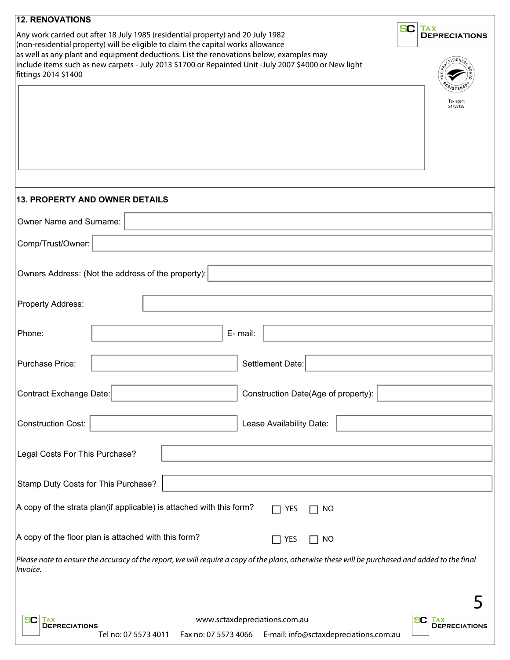| <b>12. RENOVATIONS</b>                   |                                                                                                                                                                                                                                                                                                                                                                         |                                                                                                                                                 |                                                 |
|------------------------------------------|-------------------------------------------------------------------------------------------------------------------------------------------------------------------------------------------------------------------------------------------------------------------------------------------------------------------------------------------------------------------------|-------------------------------------------------------------------------------------------------------------------------------------------------|-------------------------------------------------|
| fittings 2014 \$1400                     | Any work carried out after 18 July 1985 (residential property) and 20 July 1982<br>(non-residential property) will be eligible to claim the capital works allowance<br>as well as any plant and equipment deductions. List the renovations below, examples may<br>include items such as new carpets - July 2013 \$1700 or Repainted Unit -July 2007 \$4000 or New light |                                                                                                                                                 | <b>SC</b><br><b>TAX</b><br><b>DEPRECIATIONS</b> |
|                                          |                                                                                                                                                                                                                                                                                                                                                                         |                                                                                                                                                 | Tax agent<br>24753128                           |
|                                          | 13. PROPERTY AND OWNER DETAILS                                                                                                                                                                                                                                                                                                                                          |                                                                                                                                                 |                                                 |
| Owner Name and Surname:                  |                                                                                                                                                                                                                                                                                                                                                                         |                                                                                                                                                 |                                                 |
| Comp/Trust/Owner:                        |                                                                                                                                                                                                                                                                                                                                                                         |                                                                                                                                                 |                                                 |
|                                          | Owners Address: (Not the address of the property):                                                                                                                                                                                                                                                                                                                      |                                                                                                                                                 |                                                 |
| Property Address:                        |                                                                                                                                                                                                                                                                                                                                                                         |                                                                                                                                                 |                                                 |
| Phone:                                   |                                                                                                                                                                                                                                                                                                                                                                         | E-mail:                                                                                                                                         |                                                 |
| Purchase Price:                          |                                                                                                                                                                                                                                                                                                                                                                         | Settlement Date:                                                                                                                                |                                                 |
| <b>Contract Exchange Date:</b>           |                                                                                                                                                                                                                                                                                                                                                                         | Construction Date(Age of property):                                                                                                             |                                                 |
| <b>Construction Cost:</b>                |                                                                                                                                                                                                                                                                                                                                                                         | Lease Availability Date:                                                                                                                        |                                                 |
| Legal Costs For This Purchase?           |                                                                                                                                                                                                                                                                                                                                                                         |                                                                                                                                                 |                                                 |
| Stamp Duty Costs for This Purchase?      |                                                                                                                                                                                                                                                                                                                                                                         |                                                                                                                                                 |                                                 |
|                                          | A copy of the strata plan(if applicable) is attached with this form?                                                                                                                                                                                                                                                                                                    | YES<br><b>NO</b>                                                                                                                                |                                                 |
|                                          | A copy of the floor plan is attached with this form?                                                                                                                                                                                                                                                                                                                    | YES<br><b>NO</b>                                                                                                                                |                                                 |
| Invoice.                                 |                                                                                                                                                                                                                                                                                                                                                                         | Please note to ensure the accuracy of the report, we will require a copy of the plans, otherwise these will be purchased and added to the final |                                                 |
|                                          |                                                                                                                                                                                                                                                                                                                                                                         |                                                                                                                                                 |                                                 |
| SC<br><b>TAX</b><br><b>DEPRECIATIONS</b> | Tel no: 07 5573 4011                                                                                                                                                                                                                                                                                                                                                    | www.sctaxdepreciations.com.au<br>Fax no: 07 5573 4066 E-mail: info@sctaxdepreciations.com.au                                                    | SC.<br><b>TAX</b><br><b>DEPRECIATIONS</b>       |